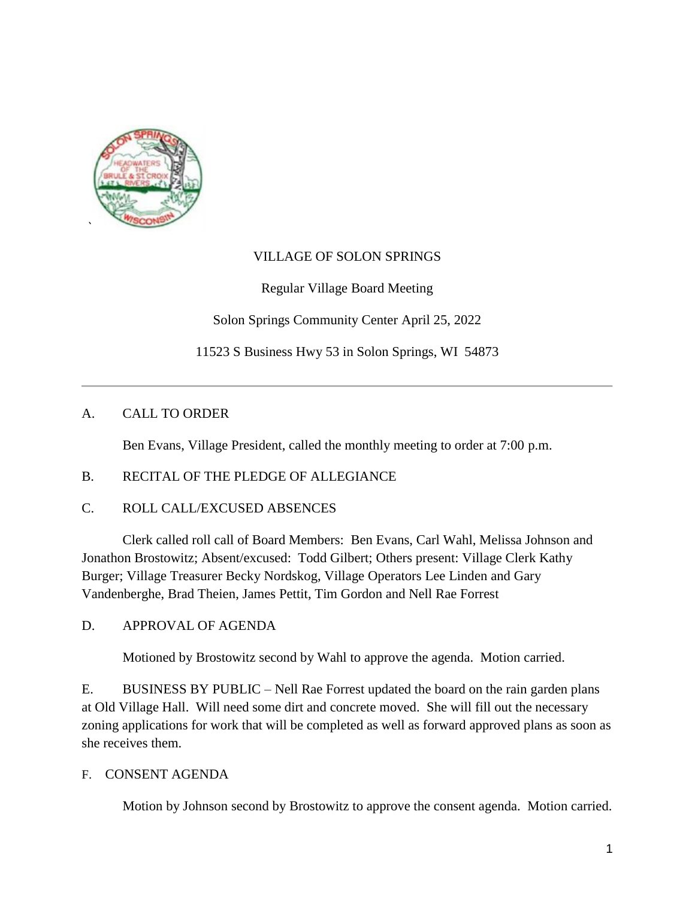

## VILLAGE OF SOLON SPRINGS

Regular Village Board Meeting

Solon Springs Community Center April 25, 2022

11523 S Business Hwy 53 in Solon Springs, WI 54873

## A. CALL TO ORDER

Ben Evans, Village President, called the monthly meeting to order at 7:00 p.m.

### B. RECITAL OF THE PLEDGE OF ALLEGIANCE

C. ROLL CALL/EXCUSED ABSENCES

Clerk called roll call of Board Members: Ben Evans, Carl Wahl, Melissa Johnson and Jonathon Brostowitz; Absent/excused: Todd Gilbert; Others present: Village Clerk Kathy Burger; Village Treasurer Becky Nordskog, Village Operators Lee Linden and Gary Vandenberghe, Brad Theien, James Pettit, Tim Gordon and Nell Rae Forrest

D. APPROVAL OF AGENDA

Motioned by Brostowitz second by Wahl to approve the agenda. Motion carried.

E. BUSINESS BY PUBLIC – Nell Rae Forrest updated the board on the rain garden plans at Old Village Hall. Will need some dirt and concrete moved. She will fill out the necessary zoning applications for work that will be completed as well as forward approved plans as soon as she receives them.

### F. CONSENT AGENDA

Motion by Johnson second by Brostowitz to approve the consent agenda. Motion carried.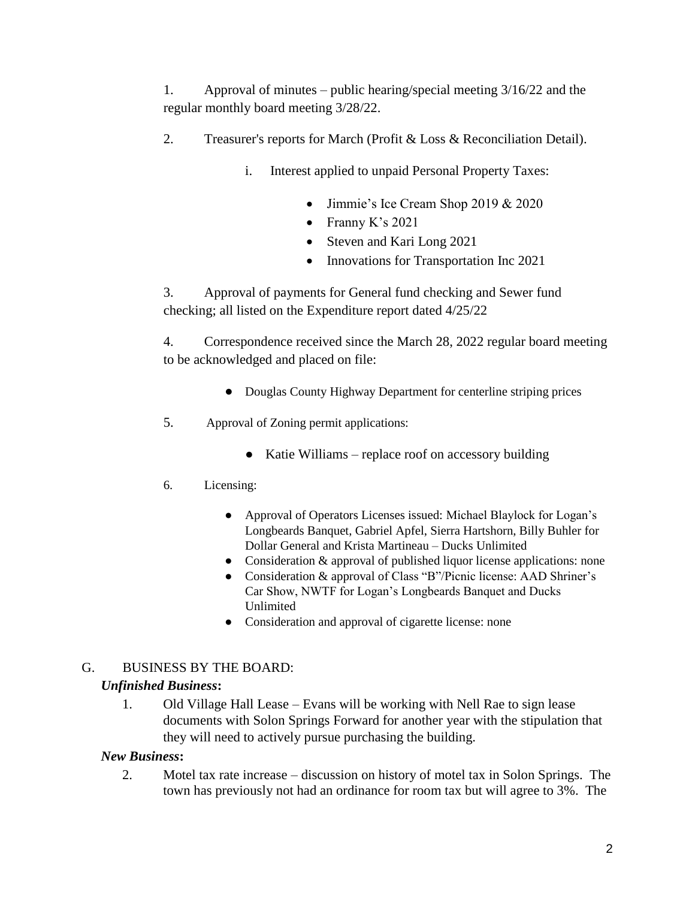1. Approval of minutes – public hearing/special meeting 3/16/22 and the regular monthly board meeting 3/28/22.

- 2. Treasurer's reports for March (Profit & Loss & Reconciliation Detail).
	- i. Interest applied to unpaid Personal Property Taxes:
		- Jimmie's Ice Cream Shop 2019 & 2020
		- Franny K's  $2021$
		- Steven and Kari Long 2021
		- Innovations for Transportation Inc 2021

3. Approval of payments for General fund checking and Sewer fund checking; all listed on the Expenditure report dated 4/25/22

4. Correspondence received since the March 28, 2022 regular board meeting to be acknowledged and placed on file:

- Douglas County Highway Department for centerline striping prices
- 5. Approval of Zoning permit applications:
	- Katie Williams replace roof on accessory building
- 6. Licensing:
	- Approval of Operators Licenses issued: Michael Blaylock for Logan's Longbeards Banquet, Gabriel Apfel, Sierra Hartshorn, Billy Buhler for Dollar General and Krista Martineau – Ducks Unlimited
	- Consideration & approval of published liquor license applications: none
	- Consideration & approval of Class "B"/Picnic license: AAD Shriner's Car Show, NWTF for Logan's Longbeards Banquet and Ducks Unlimited
	- Consideration and approval of cigarette license: none

# G. BUSINESS BY THE BOARD:

# *Unfinished Business***:**

1. Old Village Hall Lease – Evans will be working with Nell Rae to sign lease documents with Solon Springs Forward for another year with the stipulation that they will need to actively pursue purchasing the building.

### *New Business***:**

2. Motel tax rate increase – discussion on history of motel tax in Solon Springs. The town has previously not had an ordinance for room tax but will agree to 3%. The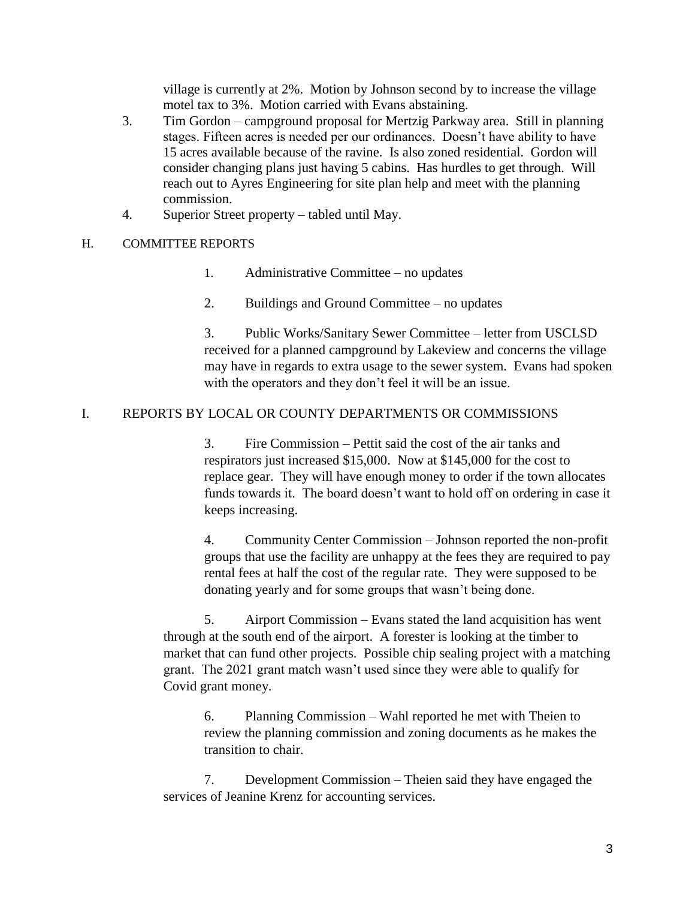village is currently at 2%. Motion by Johnson second by to increase the village motel tax to 3%. Motion carried with Evans abstaining.

- 3. Tim Gordon campground proposal for Mertzig Parkway area. Still in planning stages. Fifteen acres is needed per our ordinances. Doesn't have ability to have 15 acres available because of the ravine. Is also zoned residential. Gordon will consider changing plans just having 5 cabins. Has hurdles to get through. Will reach out to Ayres Engineering for site plan help and meet with the planning commission.
- 4. Superior Street property tabled until May.

#### H. COMMITTEE REPORTS

- 1. Administrative Committee no updates
- 2. Buildings and Ground Committee no updates

3. Public Works/Sanitary Sewer Committee – letter from USCLSD received for a planned campground by Lakeview and concerns the village may have in regards to extra usage to the sewer system. Evans had spoken with the operators and they don't feel it will be an issue.

#### I. REPORTS BY LOCAL OR COUNTY DEPARTMENTS OR COMMISSIONS

3. Fire Commission – Pettit said the cost of the air tanks and respirators just increased \$15,000. Now at \$145,000 for the cost to replace gear. They will have enough money to order if the town allocates funds towards it. The board doesn't want to hold off on ordering in case it keeps increasing.

4. Community Center Commission – Johnson reported the non-profit groups that use the facility are unhappy at the fees they are required to pay rental fees at half the cost of the regular rate. They were supposed to be donating yearly and for some groups that wasn't being done.

5. Airport Commission – Evans stated the land acquisition has went through at the south end of the airport. A forester is looking at the timber to market that can fund other projects. Possible chip sealing project with a matching grant. The 2021 grant match wasn't used since they were able to qualify for Covid grant money.

6. Planning Commission – Wahl reported he met with Theien to review the planning commission and zoning documents as he makes the transition to chair.

7. Development Commission – Theien said they have engaged the services of Jeanine Krenz for accounting services.